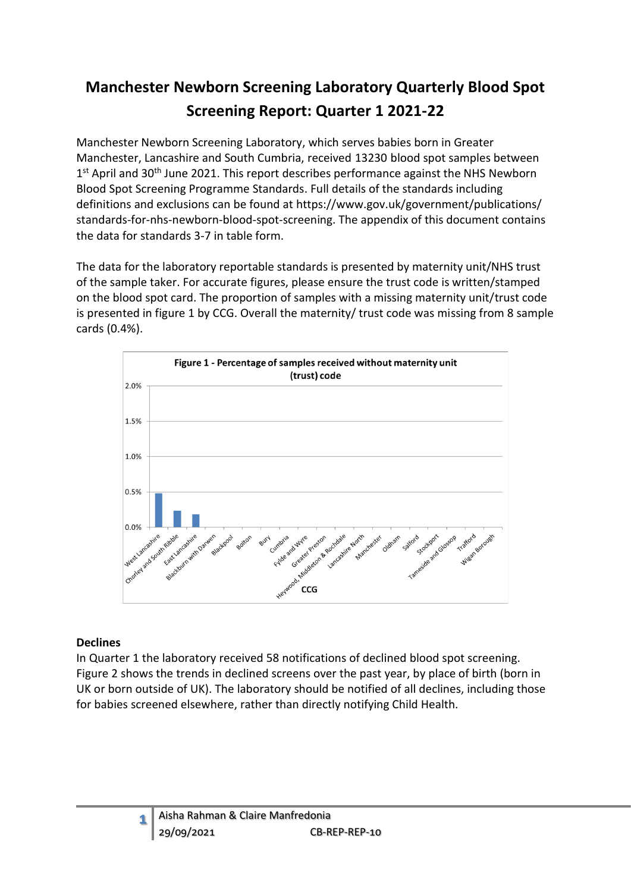# **Manchester Newborn Screening Laboratory Quarterly Blood Spot Screening Report: Quarter 1 2021-22**

Manchester Newborn Screening Laboratory, which serves babies born in Greater Manchester, Lancashire and South Cumbria, received 13230 blood spot samples between 1<sup>st</sup> April and 30<sup>th</sup> June 2021. This report describes performance against the NHS Newborn Blood Spot Screening Programme Standards. Full details of the standards including definitions and exclusions can be found at https://www.gov.uk/government/publications/ standards-for-nhs-newborn-blood-spot-screening. The appendix of this document contains the data for standards 3-7 in table form.

The data for the laboratory reportable standards is presented by maternity unit/NHS trust of the sample taker. For accurate figures, please ensure the trust code is written/stamped on the blood spot card. The proportion of samples with a missing maternity unit/trust code is presented in figure 1 by CCG. Overall the maternity/ trust code was missing from 8 sample cards (0.4%).



#### **Declines**

**1**

In Quarter 1 the laboratory received 58 notifications of declined blood spot screening. Figure 2 shows the trends in declined screens over the past year, by place of birth (born in UK or born outside of UK). The laboratory should be notified of all declines, including those for babies screened elsewhere, rather than directly notifying Child Health.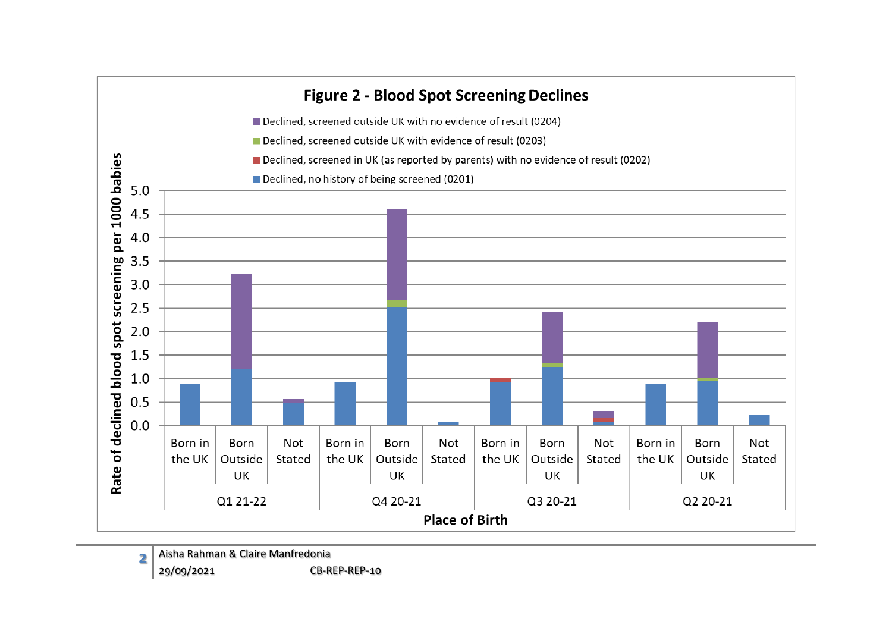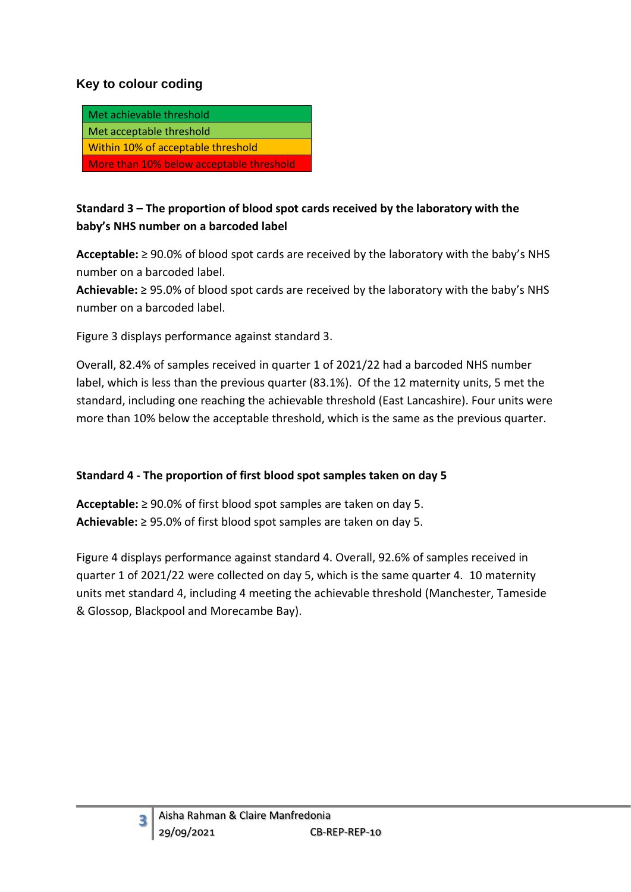### **Key to colour coding**

| Met achievable threshold                 |
|------------------------------------------|
| Met acceptable threshold                 |
| Within 10% of acceptable threshold       |
| More than 10% below acceptable threshold |

### **Standard 3 – The proportion of blood spot cards received by the laboratory with the baby's NHS number on a barcoded label**

**Acceptable:** ≥ 90.0% of blood spot cards are received by the laboratory with the baby's NHS number on a barcoded label.

**Achievable:** ≥ 95.0% of blood spot cards are received by the laboratory with the baby's NHS number on a barcoded label.

Figure 3 displays performance against standard 3.

Overall, 82.4% of samples received in quarter 1 of 2021/22 had a barcoded NHS number label, which is less than the previous quarter (83.1%). Of the 12 maternity units, 5 met the standard, including one reaching the achievable threshold (East Lancashire). Four units were more than 10% below the acceptable threshold, which is the same as the previous quarter.

#### **Standard 4 - The proportion of first blood spot samples taken on day 5**

**Acceptable:** ≥ 90.0% of first blood spot samples are taken on day 5. **Achievable:** ≥ 95.0% of first blood spot samples are taken on day 5.

Figure 4 displays performance against standard 4. Overall, 92.6% of samples received in quarter 1 of 2021/22 were collected on day 5, which is the same quarter 4. 10 maternity units met standard 4, including 4 meeting the achievable threshold (Manchester, Tameside & Glossop, Blackpool and Morecambe Bay).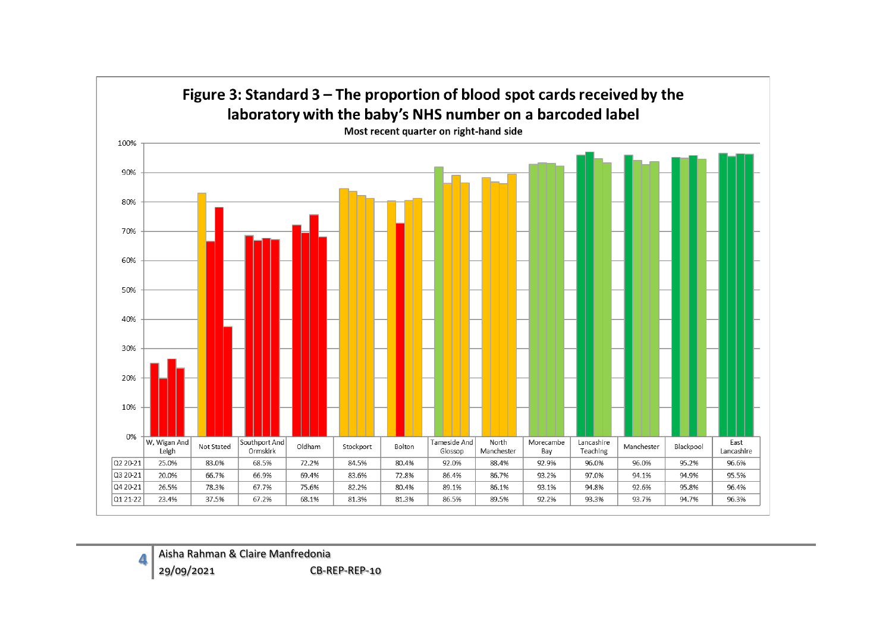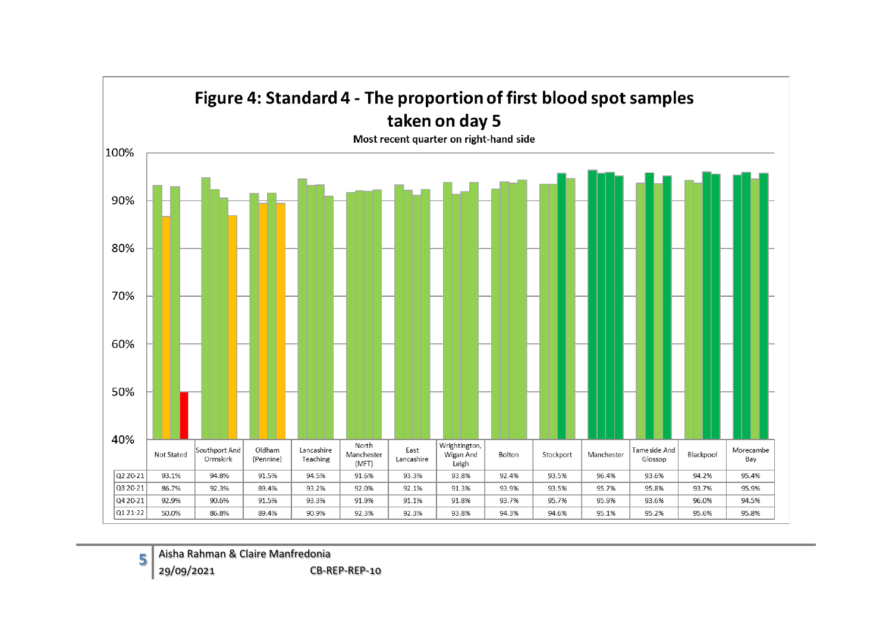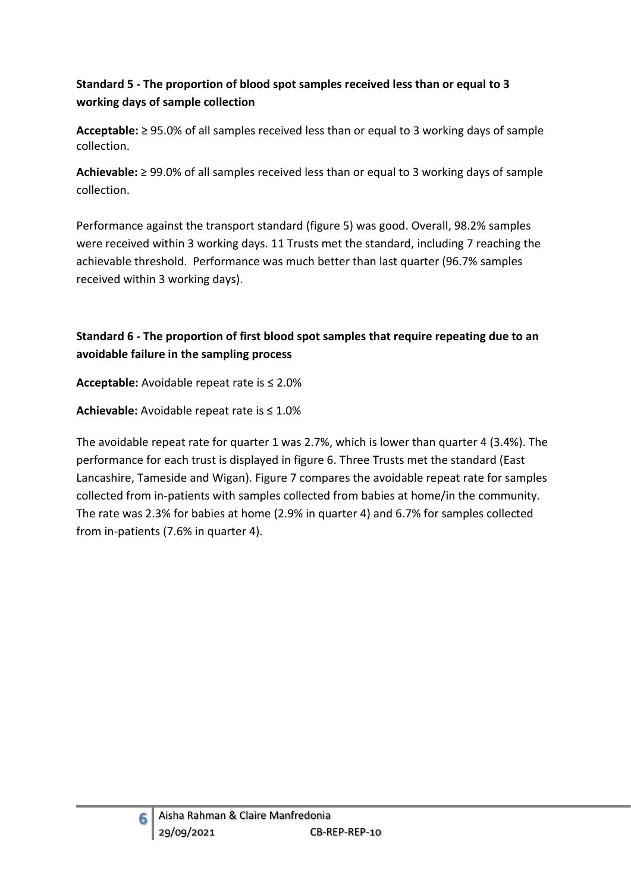### **Standard 5 - The proportion of blood spot samples received less than or equal to 3 working days of sample collection**

**Acceptable:** ≥ 95.0% of all samples received less than or equal to 3 working days of sample collection.

**Achievable:** ≥ 99.0% of all samples received less than or equal to 3 working days of sample collection.

Performance against the transport standard (figure 5) was good. Overall, 98.2% samples were received within 3 working days. 11 Trusts met the standard, including 7 reaching the achievable threshold. Performance was much better than last quarter (96.7% samples received within 3 working days).

### **Standard 6 - The proportion of first blood spot samples that require repeating due to an avoidable failure in the sampling process**

**Acceptable:** Avoidable repeat rate is ≤ 2.0%

**Achievable:** Avoidable repeat rate is ≤ 1.0%

The avoidable repeat rate for quarter 1 was 2.7%, which is lower than quarter 4 (3.4%). The performance for each trust is displayed in figure 6. Three Trusts met the standard (East Lancashire, Tameside and Wigan). Figure 7 compares the avoidable repeat rate for samples collected from in-patients with samples collected from babies at home/in the community. The rate was 2.3% for babies at home (2.9% in quarter 4) and 6.7% for samples collected from in-patients (7.6% in quarter 4).

**6**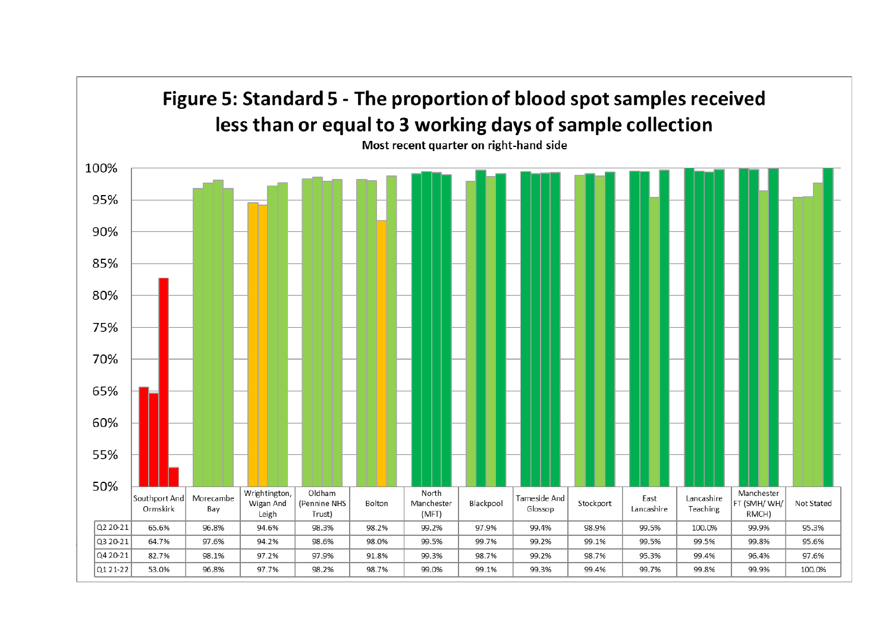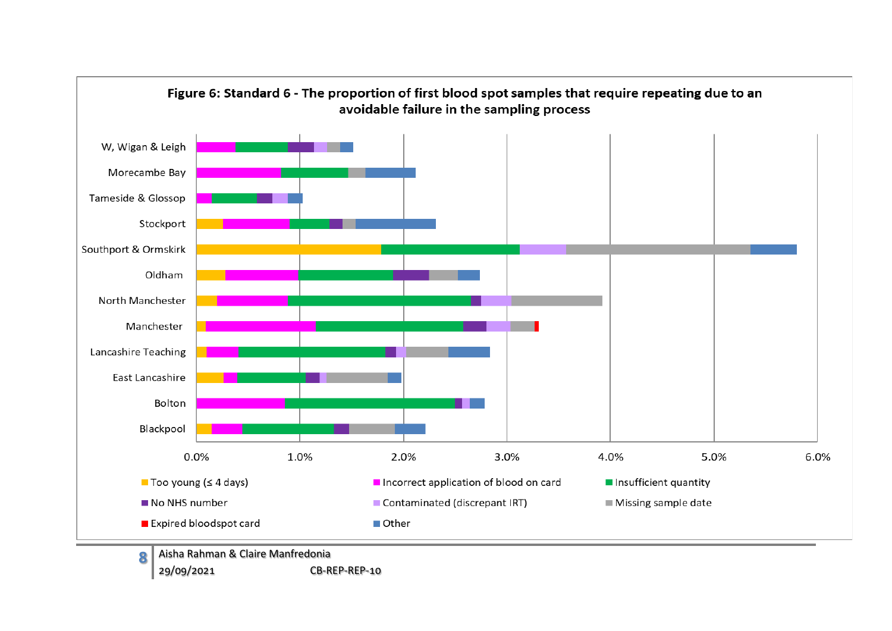

**8** Aisha Rahman & Claire Manfredonia 29/09/2021 CB-REP-REP-10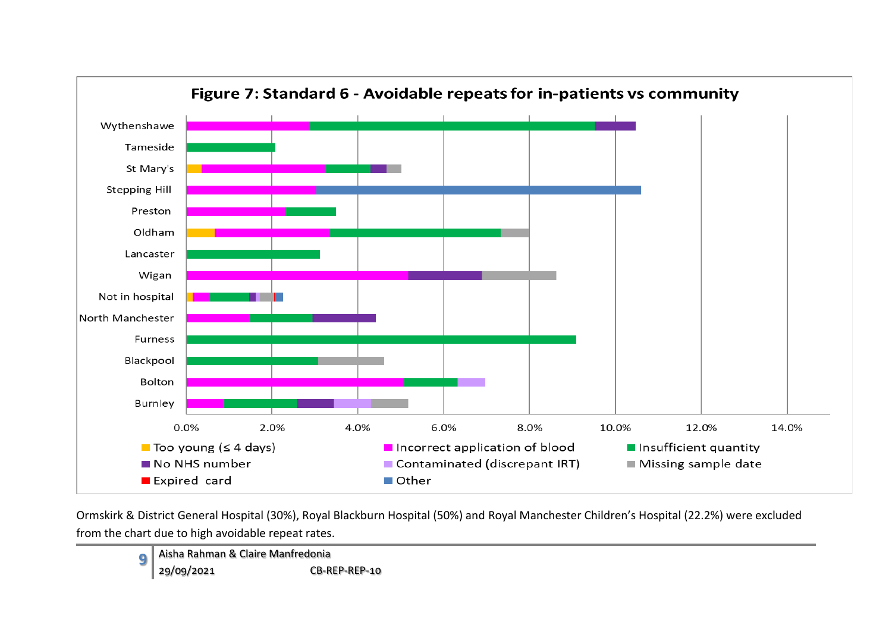

Ormskirk & District General Hospital (30%), Royal Blackburn Hospital (50%) and Royal Manchester Children's Hospital (22.2%) were excluded from the chart due to high avoidable repeat rates.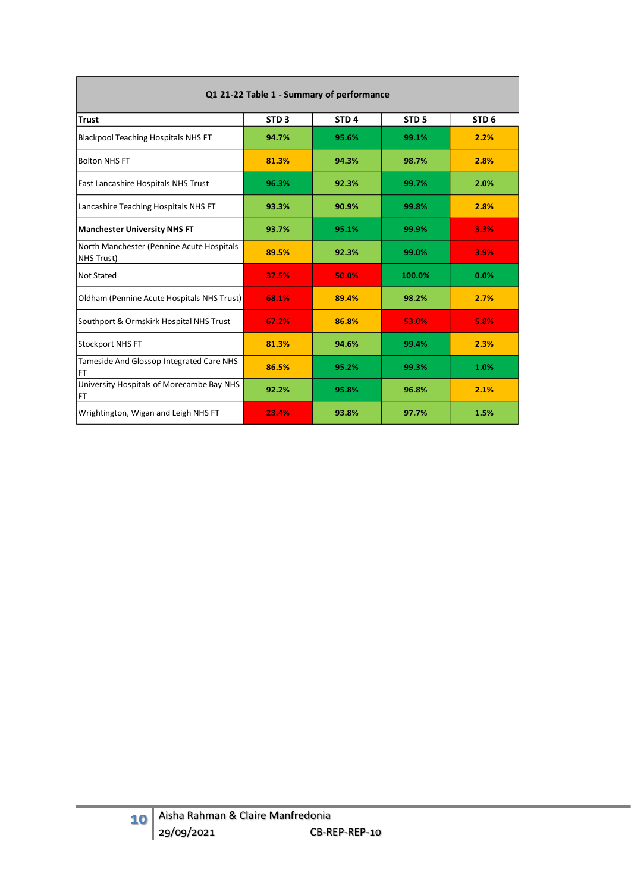|                                                         |                  | Q1 21-22 Table 1 - Summary of performance |                  |                  |
|---------------------------------------------------------|------------------|-------------------------------------------|------------------|------------------|
| <b>Trust</b>                                            | STD <sub>3</sub> | STD <sub>4</sub>                          | STD <sub>5</sub> | STD <sub>6</sub> |
| <b>Blackpool Teaching Hospitals NHS FT</b>              | 94.7%            | 95.6%                                     | 99.1%            | 2.2%             |
| <b>Bolton NHS FT</b>                                    | 81.3%            | 94.3%                                     | 98.7%            | 2.8%             |
| <b>East Lancashire Hospitals NHS Trust</b>              | 96.3%            | 92.3%                                     | 99.7%            | 2.0%             |
| Lancashire Teaching Hospitals NHS FT                    | 93.3%            | 90.9%                                     | 99.8%            | 2.8%             |
| <b>Manchester University NHS FT</b>                     | 93.7%            | 95.1%                                     | 99.9%            | 3.3%             |
| North Manchester (Pennine Acute Hospitals<br>NHS Trust) | 89.5%            | 92.3%                                     | 99.0%            | 3.9%             |
| Not Stated                                              | 37.5%            | 50.0%                                     | 100.0%           | 0.0%             |
| Oldham (Pennine Acute Hospitals NHS Trust)              | 68.1%            | 89.4%                                     | 98.2%            | 2.7%             |
| Southport & Ormskirk Hospital NHS Trust                 | 67.2%            | 86.8%                                     | 53.0%            | 5.8%             |
| Stockport NHS FT                                        | 81.3%            | 94.6%                                     | 99.4%            | 2.3%             |
| Tameside And Glossop Integrated Care NHS<br><b>FT</b>   | 86.5%            | 95.2%                                     | 99.3%            | 1.0%             |
| University Hospitals of Morecambe Bay NHS<br>FT         | 92.2%            | 95.8%                                     | 96.8%            | 2.1%             |
| Wrightington, Wigan and Leigh NHS FT                    | 23.4%            | 93.8%                                     | 97.7%            | 1.5%             |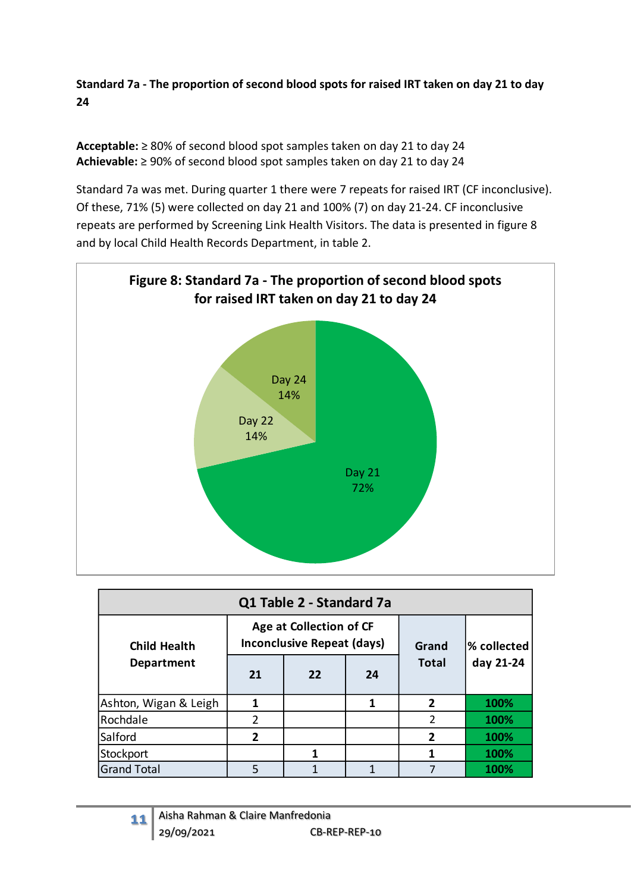**Standard 7a - The proportion of second blood spots for raised IRT taken on day 21 to day 24** 

**Acceptable:** ≥ 80% of second blood spot samples taken on day 21 to day 24 **Achievable:** ≥ 90% of second blood spot samples taken on day 21 to day 24

Standard 7a was met. During quarter 1 there were 7 repeats for raised IRT (CF inconclusive). Of these, 71% (5) were collected on day 21 and 100% (7) on day 21-24. CF inconclusive repeats are performed by Screening Link Health Visitors. The data is presented in figure 8 and by local Child Health Records Department, in table 2.



|                       |                | Q1 Table 2 - Standard 7a                                     |       |                |           |  |
|-----------------------|----------------|--------------------------------------------------------------|-------|----------------|-----------|--|
| <b>Child Health</b>   |                | Age at Collection of CF<br><b>Inconclusive Repeat (days)</b> | Grand | % collected    |           |  |
| <b>Department</b>     | 21             | 22                                                           | 24    | <b>Total</b>   | day 21-24 |  |
| Ashton, Wigan & Leigh | 1              |                                                              | 1     | $\overline{2}$ | 100%      |  |
| Rochdale              | $\overline{2}$ |                                                              |       | $\overline{2}$ | 100%      |  |
| Salford               | 2              |                                                              |       | 2              | 100%      |  |
| Stockport             |                |                                                              |       | 100%           |           |  |
| <b>Grand Total</b>    | 5              |                                                              |       |                | 100%      |  |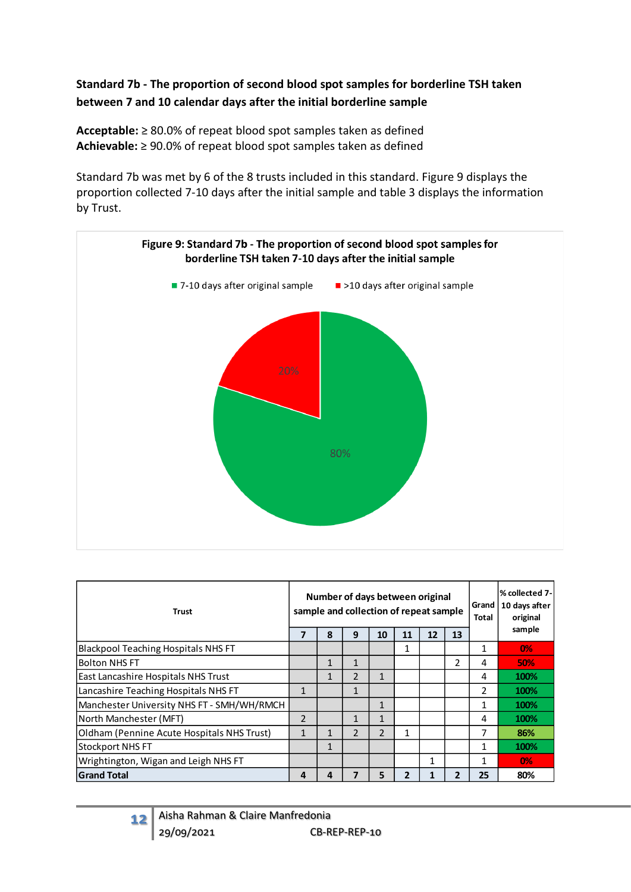### **Standard 7b - The proportion of second blood spot samples for borderline TSH taken between 7 and 10 calendar days after the initial borderline sample**

**Acceptable:** ≥ 80.0% of repeat blood spot samples taken as defined **Achievable:** ≥ 90.0% of repeat blood spot samples taken as defined

Standard 7b was met by 6 of the 8 trusts included in this standard. Figure 9 displays the proportion collected 7-10 days after the initial sample and table 3 displays the information by Trust.



| <b>Trust</b>                               |                |              | Number of days between original<br>sample and collection of repeat sample |               | Grand<br>Total | % collected 7-<br>10 days after<br>original |    |    |            |
|--------------------------------------------|----------------|--------------|---------------------------------------------------------------------------|---------------|----------------|---------------------------------------------|----|----|------------|
|                                            | 7              | 8            | 9                                                                         | 10            | 11             | 12                                          | 13 |    | sample     |
| <b>Blackpool Teaching Hospitals NHS FT</b> |                |              |                                                                           |               |                |                                             |    | 1  | 0%         |
| <b>Bolton NHS FT</b>                       |                | $\mathbf{1}$ | $\mathbf{1}$                                                              |               |                |                                             | 2  | 4  | <b>50%</b> |
| East Lancashire Hospitals NHS Trust        |                | 1            | $\mathcal{P}$                                                             | 1             |                |                                             |    | 4  | 100%       |
| Lancashire Teaching Hospitals NHS FT       | 1              |              | 1                                                                         |               |                |                                             |    | 2  | 100%       |
| Manchester University NHS FT - SMH/WH/RMCH |                |              |                                                                           | 1             |                |                                             |    | 1  | 100%       |
| North Manchester (MFT)                     | $\overline{2}$ |              | 1                                                                         | $\mathbf{1}$  |                |                                             |    | 4  | 100%       |
| Oldham (Pennine Acute Hospitals NHS Trust) | $\mathbf{1}$   | 1            | $\mathcal{P}$                                                             | $\mathcal{P}$ | 1              |                                             |    | 7  | 86%        |
| <b>Stockport NHS FT</b>                    |                | 1            |                                                                           |               |                |                                             |    | 1  | 100%       |
| Wrightington, Wigan and Leigh NHS FT       |                |              |                                                                           |               |                | 1                                           |    | 1  | 0%         |
| <b>Grand Total</b>                         | 4              | 4            | 7                                                                         | 5             | 2              |                                             | 2  | 25 | 80%        |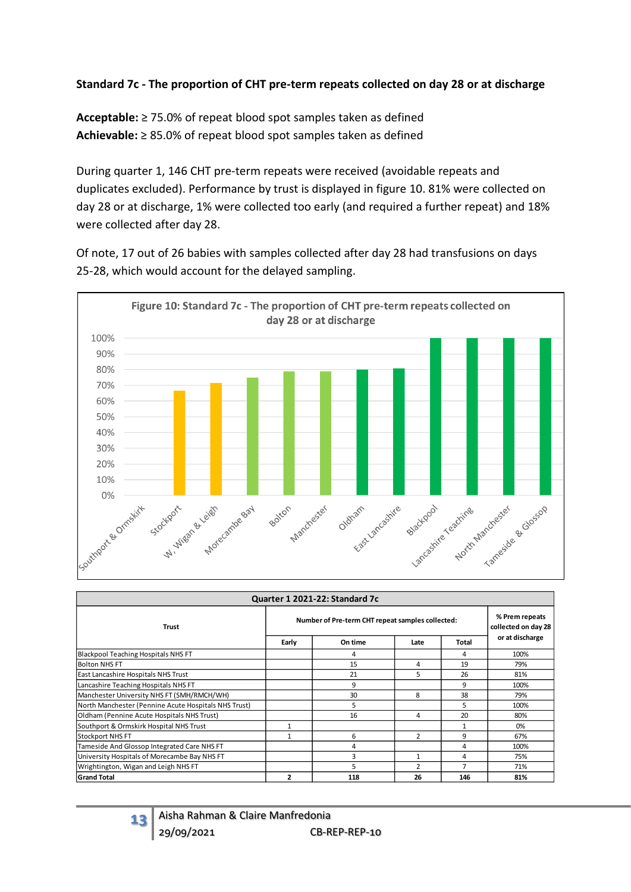#### **Standard 7c - The proportion of CHT pre-term repeats collected on day 28 or at discharge**

**Acceptable:** ≥ 75.0% of repeat blood spot samples taken as defined **Achievable:** ≥ 85.0% of repeat blood spot samples taken as defined

During quarter 1, 146 CHT pre-term repeats were received (avoidable repeats and duplicates excluded). Performance by trust is displayed in figure 10. 81% were collected on day 28 or at discharge, 1% were collected too early (and required a further repeat) and 18% were collected after day 28.

Of note, 17 out of 26 babies with samples collected after day 28 had transfusions on days 25-28, which would account for the delayed sampling.



|                                                      |                                                  | Quarter 1 2021-22: Standard 7c        |               |       |                 |
|------------------------------------------------------|--------------------------------------------------|---------------------------------------|---------------|-------|-----------------|
| <b>Trust</b>                                         | Number of Pre-term CHT repeat samples collected: | % Prem repeats<br>collected on day 28 |               |       |                 |
|                                                      | Early                                            | On time                               | Late          | Total | or at discharge |
| <b>Blackpool Teaching Hospitals NHS FT</b>           |                                                  | 4                                     |               | 4     | 100%            |
| <b>Bolton NHS FT</b>                                 |                                                  | 15                                    | 4             | 19    | 79%             |
| East Lancashire Hospitals NHS Trust                  |                                                  | 21                                    | 5             | 26    | 81%             |
| Lancashire Teaching Hospitals NHS FT                 |                                                  | 9                                     |               | 9     | 100%            |
| Manchester University NHS FT (SMH/RMCH/WH)           |                                                  | 30                                    | 8             | 38    | 79%             |
| North Manchester (Pennine Acute Hospitals NHS Trust) |                                                  | 5                                     |               | 5     | 100%            |
| Oldham (Pennine Acute Hospitals NHS Trust)           |                                                  | 16                                    | 4             | 20    | 80%             |
| Southport & Ormskirk Hospital NHS Trust              |                                                  |                                       |               |       | 0%              |
| <b>Stockport NHS FT</b>                              |                                                  | 6                                     | $\mathcal{P}$ | 9     | 67%             |
| Tameside And Glossop Integrated Care NHS FT          |                                                  | 4                                     |               | 4     | 100%            |
| University Hospitals of Morecambe Bay NHS FT         |                                                  | 75%                                   |               |       |                 |
| Wrightington, Wigan and Leigh NHS FT                 |                                                  | $\overline{7}$                        | 71%           |       |                 |
| <b>Grand Total</b>                                   | 2                                                | 118                                   | 26            | 146   | 81%             |

**13** Aisha Rahman & Claire Manfredonia<br>29/09/2021 CB-R CB-REP-REP-10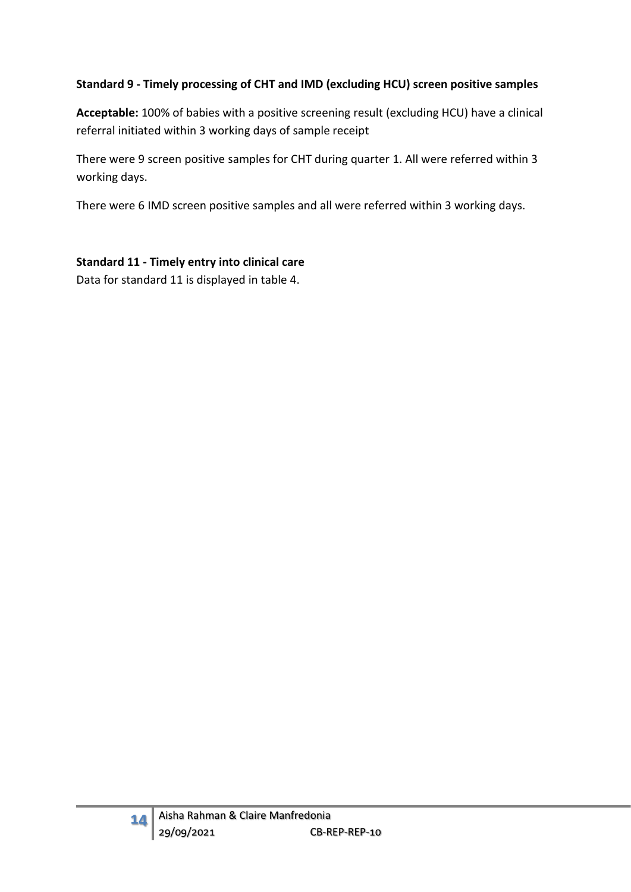### **Standard 9 - Timely processing of CHT and IMD (excluding HCU) screen positive samples**

**Acceptable:** 100% of babies with a positive screening result (excluding HCU) have a clinical referral initiated within 3 working days of sample receipt

There were 9 screen positive samples for CHT during quarter 1. All were referred within 3 working days.

There were 6 IMD screen positive samples and all were referred within 3 working days.

#### **Standard 11 - Timely entry into clinical care**

Data for standard 11 is displayed in table 4.

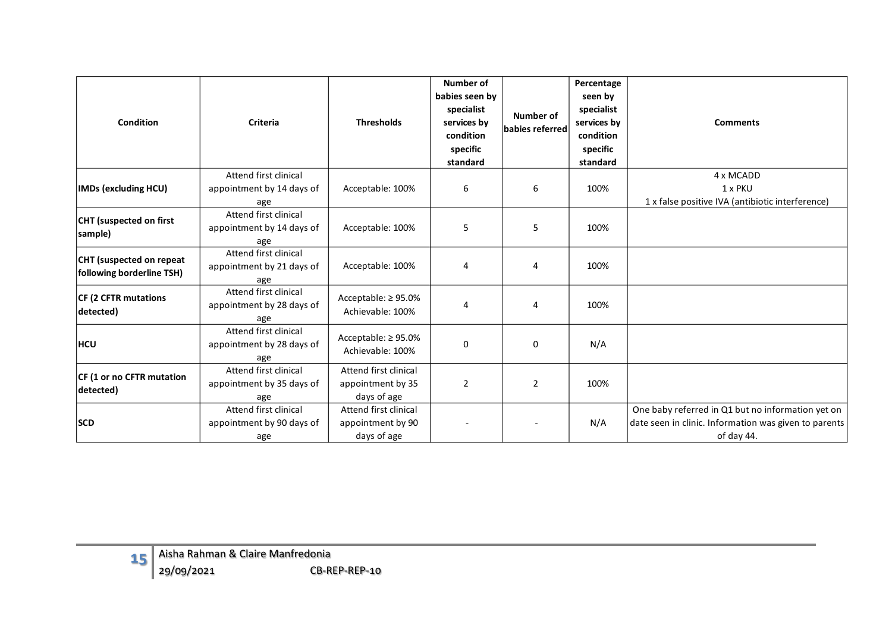| <b>Condition</b>                                      | <b>Criteria</b>                                           | <b>Thresholds</b>                                         | Number of<br>babies seen by<br>specialist<br>services by<br>condition<br>specific<br>standard | Number of<br>babies referred | Percentage<br>seen by<br>specialist<br>services by<br>condition<br>specific<br>standard | <b>Comments</b>                                                                                                          |
|-------------------------------------------------------|-----------------------------------------------------------|-----------------------------------------------------------|-----------------------------------------------------------------------------------------------|------------------------------|-----------------------------------------------------------------------------------------|--------------------------------------------------------------------------------------------------------------------------|
| <b>IMDs (excluding HCU)</b>                           | Attend first clinical<br>appointment by 14 days of<br>age | Acceptable: 100%                                          | 6                                                                                             | 6                            | 100%                                                                                    | 4 x MCADD<br>1 x PKU<br>1 x false positive IVA (antibiotic interference)                                                 |
| CHT (suspected on first<br>sample)                    | Attend first clinical<br>appointment by 14 days of<br>age | Acceptable: 100%                                          | 5                                                                                             | 5                            | 100%                                                                                    |                                                                                                                          |
| CHT (suspected on repeat<br>following borderline TSH) | Attend first clinical<br>appointment by 21 days of<br>age | Acceptable: 100%                                          | 4                                                                                             | 4                            | 100%                                                                                    |                                                                                                                          |
| <b>CF (2 CFTR mutations</b><br>detected)              | Attend first clinical<br>appointment by 28 days of<br>age | Acceptable: ≥95.0%<br>Achievable: 100%                    | 4                                                                                             | 4                            | 100%                                                                                    |                                                                                                                          |
| <b>HCU</b>                                            | Attend first clinical<br>appointment by 28 days of<br>age | Acceptable: ≥95.0%<br>Achievable: 100%                    | 0                                                                                             | $\mathbf 0$                  | N/A                                                                                     |                                                                                                                          |
| CF (1 or no CFTR mutation<br>detected)                | Attend first clinical<br>appointment by 35 days of<br>age | Attend first clinical<br>appointment by 35<br>days of age | $\overline{2}$                                                                                | 2                            | 100%                                                                                    |                                                                                                                          |
| <b>SCD</b>                                            | Attend first clinical<br>appointment by 90 days of<br>age | Attend first clinical<br>appointment by 90<br>days of age |                                                                                               |                              | N/A                                                                                     | One baby referred in Q1 but no information yet on<br>date seen in clinic. Information was given to parents<br>of day 44. |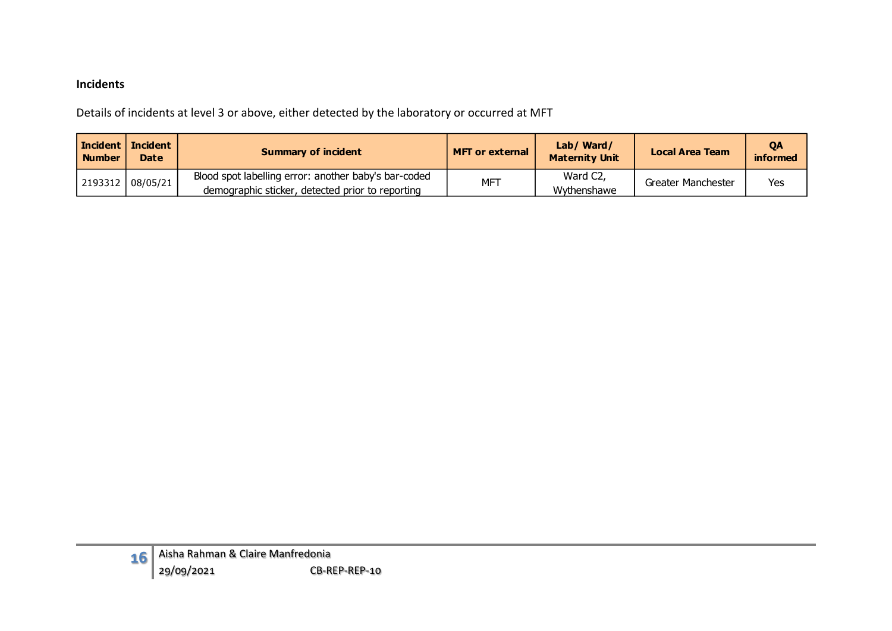#### **Incidents**

Details of incidents at level 3 or above, either detected by the laboratory or occurred at MFT

| <b>Number</b> | <b>Incident   Incident  </b><br><b>Date</b> | <b>Summary of incident</b>                                                                               | <b>MFT or external</b> | Lab/ Ward/<br><b>Maternity Unit</b> | <b>Local Area Team</b> | <b>OA</b><br>informed |
|---------------|---------------------------------------------|----------------------------------------------------------------------------------------------------------|------------------------|-------------------------------------|------------------------|-----------------------|
|               | 2193312 08/05/21                            | Blood spot labelling error: another baby's bar-coded<br>demographic sticker, detected prior to reporting | MFT                    | Ward C2,<br>Wythenshawe             | Greater Manchester     | Yes                   |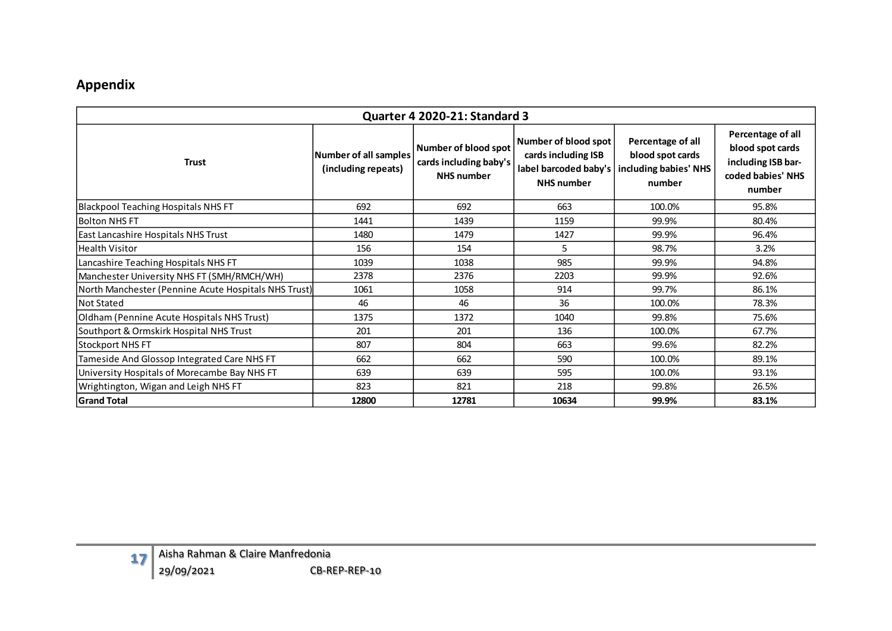## **Appendix**

|                                                      |                                              | Quarter 4 2020-21: Standard 3                                       |                                                                                           |                                                                          |                                                                                            |
|------------------------------------------------------|----------------------------------------------|---------------------------------------------------------------------|-------------------------------------------------------------------------------------------|--------------------------------------------------------------------------|--------------------------------------------------------------------------------------------|
| <b>Trust</b>                                         | Number of all samples<br>(including repeats) | Number of blood spot<br>cards including baby's<br><b>NHS</b> number | Number of blood spot<br>cards including ISB<br>label barcoded baby's<br><b>NHS</b> number | Percentage of all<br>blood spot cards<br>including babies' NHS<br>number | Percentage of all<br>blood spot cards<br>including ISB bar-<br>coded babies' NHS<br>number |
| <b>Blackpool Teaching Hospitals NHS FT</b>           | 692                                          | 692                                                                 | 663                                                                                       | 100.0%                                                                   | 95.8%                                                                                      |
| <b>Bolton NHS FT</b>                                 | 1441                                         | 1439                                                                | 1159                                                                                      | 99.9%                                                                    | 80.4%                                                                                      |
| <b>East Lancashire Hospitals NHS Trust</b>           | 1480                                         | 1479                                                                | 1427                                                                                      | 99.9%                                                                    | 96.4%                                                                                      |
| <b>Health Visitor</b>                                | 156                                          | 154                                                                 | 5                                                                                         | 98.7%                                                                    | 3.2%                                                                                       |
| Lancashire Teaching Hospitals NHS FT                 | 1039                                         | 1038                                                                | 985                                                                                       | 99.9%                                                                    | 94.8%                                                                                      |
| Manchester University NHS FT (SMH/RMCH/WH)           | 2378                                         | 2376                                                                | 2203                                                                                      | 99.9%                                                                    | 92.6%                                                                                      |
| North Manchester (Pennine Acute Hospitals NHS Trust) | 1061                                         | 1058                                                                | 914                                                                                       | 99.7%                                                                    | 86.1%                                                                                      |
| <b>Not Stated</b>                                    | 46                                           | 46                                                                  | 36                                                                                        | 100.0%                                                                   | 78.3%                                                                                      |
| Oldham (Pennine Acute Hospitals NHS Trust)           | 1375                                         | 1372                                                                | 1040                                                                                      | 99.8%                                                                    | 75.6%                                                                                      |
| Southport & Ormskirk Hospital NHS Trust              | 201                                          | 201                                                                 | 136                                                                                       | 100.0%                                                                   | 67.7%                                                                                      |
| Stockport NHS FT                                     | 807                                          | 804                                                                 | 663                                                                                       | 99.6%                                                                    | 82.2%                                                                                      |
| Tameside And Glossop Integrated Care NHS FT          | 662                                          | 662                                                                 | 590                                                                                       | 100.0%                                                                   | 89.1%                                                                                      |
| University Hospitals of Morecambe Bay NHS FT         | 639                                          | 639                                                                 | 595                                                                                       | 100.0%                                                                   | 93.1%                                                                                      |
| Wrightington, Wigan and Leigh NHS FT                 | 823                                          | 821                                                                 | 218                                                                                       | 99.8%                                                                    | 26.5%                                                                                      |
| <b>Grand Total</b>                                   | 12800                                        | 12781                                                               | 10634                                                                                     | 99.9%                                                                    | 83.1%                                                                                      |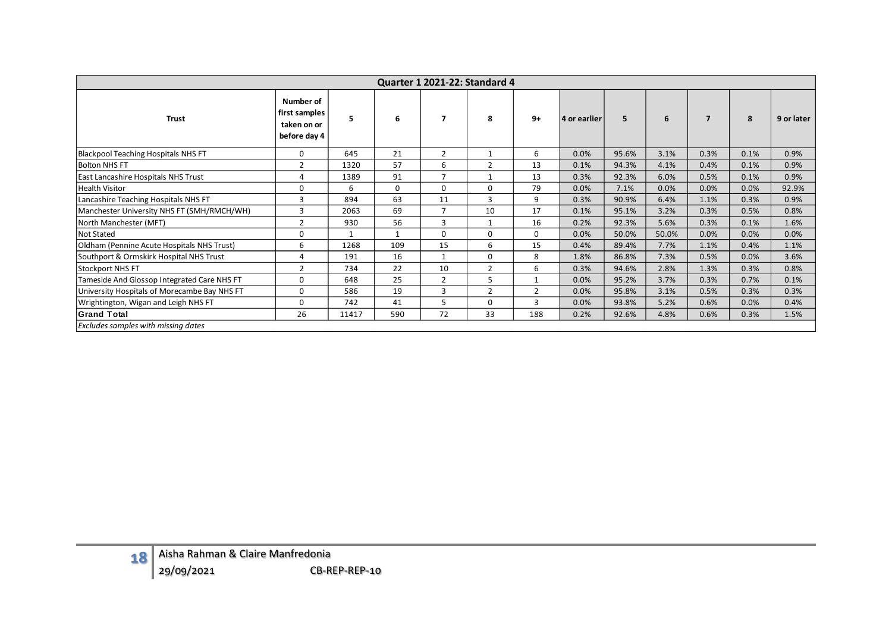|                                            | Quarter 1 2021-22: Standard 4                |                                                           |               |              |                |                |                |              |       |       |                |      |            |  |
|--------------------------------------------|----------------------------------------------|-----------------------------------------------------------|---------------|--------------|----------------|----------------|----------------|--------------|-------|-------|----------------|------|------------|--|
|                                            | <b>Trust</b>                                 | Number of<br>first samples<br>taken on or<br>before day 4 | 5             | 6            | $\overline{7}$ | 8              | $9+$           | 4 or earlier | 5     | 6     | $\overline{7}$ | 8    | 9 or later |  |
| Blackpool Teaching Hospitals NHS FT        |                                              | 0                                                         | 645           | 21           | $\overline{2}$ | $\mathbf{1}$   | 6              | 0.0%         | 95.6% | 3.1%  | 0.3%           | 0.1% | 0.9%       |  |
| <b>Bolton NHS FT</b>                       |                                              | $\overline{2}$                                            | 1320          | 57           | 6              | $\overline{2}$ | 13             | 0.1%         | 94.3% | 4.1%  | 0.4%           | 0.1% | 0.9%       |  |
| East Lancashire Hospitals NHS Trust        |                                              | 4                                                         | 1389          | 91           | $\overline{7}$ | $\mathbf{1}$   | 13             | 0.3%         | 92.3% | 6.0%  | 0.5%           | 0.1% | 0.9%       |  |
| <b>Health Visitor</b>                      |                                              | 0                                                         | 6             | 0            | $\mathsf 0$    | $\mathbf 0$    | 79             | 0.0%         | 7.1%  | 0.0%  | 0.0%           | 0.0% | 92.9%      |  |
| Lancashire Teaching Hospitals NHS FT       |                                              | 3                                                         | 894           | 63           | 11             | 3              | 9              | 0.3%         | 90.9% | 6.4%  | 1.1%           | 0.3% | 0.9%       |  |
|                                            | Manchester University NHS FT (SMH/RMCH/WH)   | 3                                                         | 2063          | 69           | $\overline{7}$ | 10             | 17             | 0.1%         | 95.1% | 3.2%  | 0.3%           | 0.5% | 0.8%       |  |
| North Manchester (MFT)                     |                                              | $\overline{2}$                                            | 930           | 56           | $\overline{3}$ | $\mathbf{1}$   | 16             | 0.2%         | 92.3% | 5.6%  | 0.3%           | 0.1% | 1.6%       |  |
| <b>Not Stated</b>                          |                                              | $\mathsf 0$                                               | $\mathbf{1}$  | $\mathbf{1}$ | $\mathbf 0$    | $\mathbf 0$    | $\mathbf 0$    | 0.0%         | 50.0% | 50.0% | 0.0%           | 0.0% | 0.0%       |  |
|                                            | Oldham (Pennine Acute Hospitals NHS Trust)   | 6                                                         | 1268          | 109          | 15             | 6              | 15             | 0.4%         | 89.4% | 7.7%  | 1.1%           | 0.4% | 1.1%       |  |
| Southport & Ormskirk Hospital NHS Trust    |                                              | 4                                                         | 191           | 16           | $\mathbf{1}$   | 0              | 8              | 1.8%         | 86.8% | 7.3%  | 0.5%           | 0.0% | 3.6%       |  |
| Stockport NHS FT                           |                                              | $\overline{2}$                                            | 734           | 22           | 10             | $\overline{2}$ | 6              | 0.3%         | 94.6% | 2.8%  | 1.3%           | 0.3% | 0.8%       |  |
|                                            | Tameside And Glossop Integrated Care NHS FT  | 0                                                         | 648           | 25           | $\overline{2}$ | 5              | $\mathbf{1}$   | 0.0%         | 95.2% | 3.7%  | 0.3%           | 0.7% | 0.1%       |  |
|                                            | University Hospitals of Morecambe Bay NHS FT | 0                                                         | 586           | 19           | $\mathbf{3}$   | $\overline{2}$ | $\mathbf 2$    | 0.0%         | 95.8% | 3.1%  | 0.5%           | 0.3% | 0.3%       |  |
| Wrightington, Wigan and Leigh NHS FT       |                                              | 0                                                         | 742           | 41           | 5              | $\mathsf{O}$   | $\overline{3}$ | 0.0%         | 93.8% | 5.2%  | 0.6%           | 0.0% | 0.4%       |  |
| <b>Grand Total</b>                         |                                              | 26                                                        | 11417         | 590          | 72             | 33             | 188            | 0.2%         | 92.6% | 4.8%  | 0.6%           | 0.3% | 1.5%       |  |
| <b>Excludes samples with missing dates</b> |                                              |                                                           |               |              |                |                |                |              |       |       |                |      |            |  |
|                                            |                                              |                                                           |               |              |                |                |                |              |       |       |                |      |            |  |
| 18                                         | Aisha Rahman & Claire Manfredonia            |                                                           |               |              |                |                |                |              |       |       |                |      |            |  |
|                                            | 29/09/2021                                   |                                                           | CB-REP-REP-10 |              |                |                |                |              |       |       |                |      |            |  |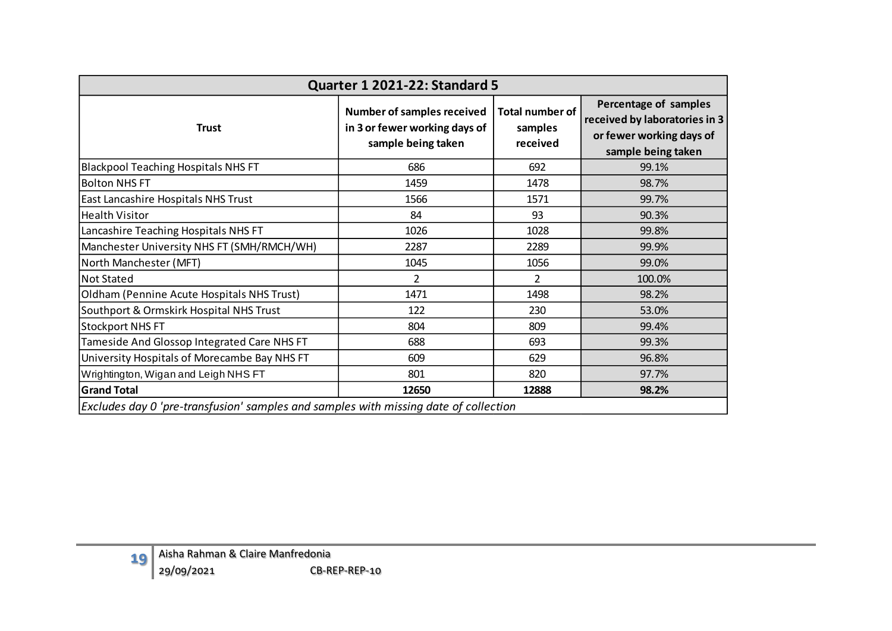|                                                                                      | Quarter 1 2021-22: Standard 5                                                            |                                               |                                                                                                          |
|--------------------------------------------------------------------------------------|------------------------------------------------------------------------------------------|-----------------------------------------------|----------------------------------------------------------------------------------------------------------|
| <b>Trust</b>                                                                         | <b>Number of samples received</b><br>in 3 or fewer working days of<br>sample being taken | <b>Total number of</b><br>samples<br>received | Percentage of samples<br>received by laboratories in 3<br>or fewer working days of<br>sample being taken |
| <b>Blackpool Teaching Hospitals NHS FT</b>                                           | 686                                                                                      | 692                                           | 99.1%                                                                                                    |
| <b>Bolton NHS FT</b>                                                                 | 1459                                                                                     | 1478                                          | 98.7%                                                                                                    |
| East Lancashire Hospitals NHS Trust                                                  | 1566                                                                                     | 1571                                          | 99.7%                                                                                                    |
| <b>Health Visitor</b>                                                                | 84                                                                                       | 93                                            | 90.3%                                                                                                    |
| Lancashire Teaching Hospitals NHS FT                                                 | 1026                                                                                     | 1028                                          | 99.8%                                                                                                    |
| Manchester University NHS FT (SMH/RMCH/WH)                                           | 2287                                                                                     | 2289                                          | 99.9%                                                                                                    |
| North Manchester (MFT)                                                               | 1045                                                                                     | 1056                                          | 99.0%                                                                                                    |
| <b>Not Stated</b>                                                                    | $\overline{2}$                                                                           | $\overline{2}$                                | 100.0%                                                                                                   |
| Oldham (Pennine Acute Hospitals NHS Trust)                                           | 1471                                                                                     | 1498                                          | 98.2%                                                                                                    |
| Southport & Ormskirk Hospital NHS Trust                                              | 122                                                                                      | 230                                           | 53.0%                                                                                                    |
| <b>Stockport NHS FT</b>                                                              | 804                                                                                      | 809                                           | 99.4%                                                                                                    |
| Tameside And Glossop Integrated Care NHS FT                                          | 688                                                                                      | 693                                           | 99.3%                                                                                                    |
| University Hospitals of Morecambe Bay NHS FT                                         | 609                                                                                      | 629                                           | 96.8%                                                                                                    |
| Wrightington, Wigan and Leigh NHS FT                                                 | 801                                                                                      | 820                                           | 97.7%                                                                                                    |
| <b>Grand Total</b>                                                                   | 12650                                                                                    | 12888                                         | 98.2%                                                                                                    |
| Excludes day 0 'pre-transfusion' samples and samples with missing date of collection |                                                                                          |                                               |                                                                                                          |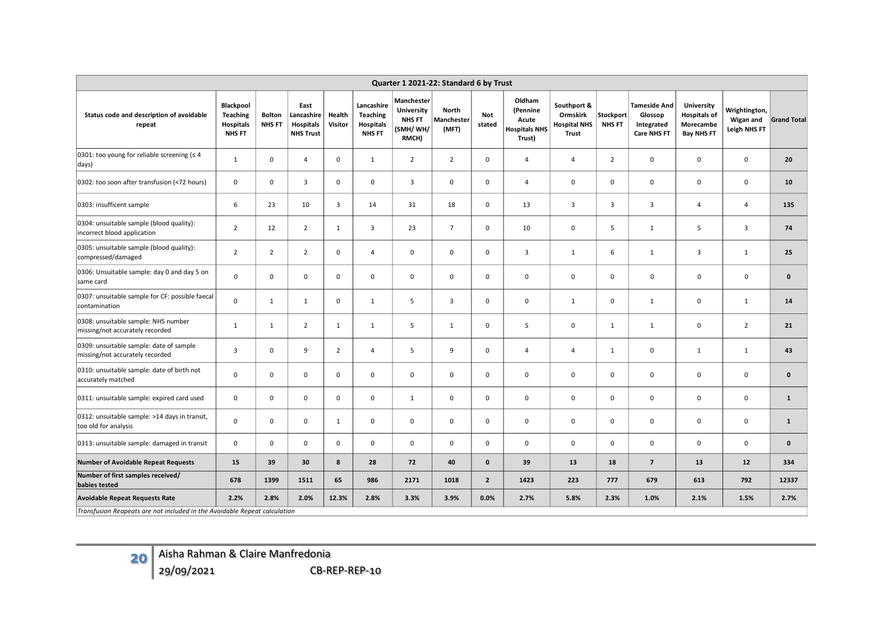| Quarter 1 2021-22: Standard 6 by Trust                                     |                                                            |                                |                                                            |                   |                                                      |                                                                 |                              |                      |                                                               |                                                         |                            |                                                             |                                                                     |                                            |                    |
|----------------------------------------------------------------------------|------------------------------------------------------------|--------------------------------|------------------------------------------------------------|-------------------|------------------------------------------------------|-----------------------------------------------------------------|------------------------------|----------------------|---------------------------------------------------------------|---------------------------------------------------------|----------------------------|-------------------------------------------------------------|---------------------------------------------------------------------|--------------------------------------------|--------------------|
| Status code and description of avoidable<br>repeat                         | Blackpool<br>Teaching<br><b>Hospitals</b><br><b>NHS FT</b> | <b>Bolton</b><br><b>NHS FT</b> | East<br>Lancashire<br><b>Hospitals</b><br><b>NHS Trust</b> | Health<br>Visitor | Lancashire<br><b>Teaching</b><br>Hospitals<br>NHS FT | Manchester<br><b>University</b><br>NHS FT<br>(SMH/ WH/<br>RMCH) | North<br>Manchester<br>(MFT) | <b>Not</b><br>stated | Oldham<br>(Pennine<br>Acute<br><b>Hospitals NHS</b><br>Trust) | Southport &<br>Ormskirk<br><b>Hospital NHS</b><br>Trust | Stockport<br><b>NHS FT</b> | <b>Tameside And</b><br>Glossop<br>Integrated<br>Care NHS FT | University<br><b>Hospitals of</b><br>Morecambe<br><b>Bay NHS FT</b> | Wrightington,<br>Wigan and<br>Leigh NHS FT | <b>Grand Total</b> |
| 0301: too young for reliable screening ( $\leq 4$<br>days)                 | $\mathbf{1}$                                               | 0                              | $\overline{4}$                                             | $\mathbf 0$       | $\mathbf{1}$                                         | $\overline{2}$                                                  | $\overline{2}$               | 0                    | $\overline{\mathbf{4}}$                                       | $\overline{4}$                                          | $\overline{2}$             | $\mathbf 0$                                                 | 0                                                                   | $\mathsf 0$                                | 20                 |
| 0302: too soon after transfusion (<72 hours)                               | $\mathsf 0$                                                | 0                              | 3                                                          | $\mathbf 0$       | 0                                                    | 3                                                               | $\mathsf 0$                  | 0                    | 4                                                             | $\mathsf 0$                                             | $\mathsf 0$                | $\mathsf 0$                                                 | $\mathsf 0$                                                         | $\mathsf 0$                                | 10                 |
| 0303: insufficent sample                                                   | 6                                                          | 23                             | 10                                                         | 3                 | 14                                                   | 31                                                              | 18                           | 0                    | 13                                                            | $\overline{\mathbf{3}}$                                 | $\overline{\mathbf{3}}$    | $\overline{\mathbf{3}}$                                     | 4                                                                   | 4                                          | 135                |
| 0304: unsuitable sample (blood quality):<br>incorrect blood application    | $\overline{2}$                                             | 12                             | $\overline{2}$                                             | $\mathbf{1}$      | 3                                                    | 23                                                              | $\overline{7}$               | $\mathbf 0$          | 10                                                            | $\mathsf 0$                                             | 5                          | $\mathbf{1}$                                                | 5                                                                   | $\mathbf{3}$                               | 74                 |
| 0305: unsuitable sample (blood quality):<br>compressed/damaged             | $\overline{2}$                                             | $\overline{2}$                 | $\overline{2}$                                             | 0                 | 4                                                    | $\mathsf 0$                                                     | $\mathsf 0$                  | 0                    | 3                                                             | $\mathbf{1}$                                            | 6                          | $\mathbf{1}$                                                | 3                                                                   | $\mathbf{1}$                               | 25                 |
| 0306: Unsuitable sample: day 0 and day 5 on<br>same card                   | $\mathsf 0$                                                | $\mathbf{0}$                   | $\mathbf 0$                                                | $\mathbf 0$       | 0                                                    | $\mathsf 0$                                                     | $\mathsf 0$                  | $\mathbf 0$          | 0                                                             | $\mathsf 0$                                             | $\mathbf 0$                | $\mathsf 0$                                                 | $\mathsf 0$                                                         | $\mathsf 0$                                | $\mathbf{0}$       |
| 0307: unsuitable sample for CF: possible faecal<br>contamination           | $\mathsf 0$                                                | $\mathbf{1}$                   | 1                                                          | 0                 | $\mathbf{1}$                                         | 5                                                               | 3                            | 0                    | 0                                                             | $\mathbf{1}$                                            | $\mathsf 0$                | $\mathbf{1}$                                                | 0                                                                   | $\mathbf{1}$                               | 14                 |
| 0308: unsuitable sample: NHS number<br>missing/not accurately recorded     | $\mathbf{1}$                                               | $\mathbf{1}$                   | $\overline{2}$                                             | $\mathbf{1}$      | $\mathbf{1}$                                         | 5                                                               | $\mathbf{1}$                 | $\mathbf 0$          | 5                                                             | $\mathsf 0$                                             | $\mathbf{1}$               | $\mathbf{1}$                                                | $\mathsf 0$                                                         | $\overline{2}$                             | 21                 |
| 0309: unsuitable sample: date of sample<br>missing/not accurately recorded | 3                                                          | 0                              | 9                                                          | $\overline{2}$    | $\overline{4}$                                       | 5                                                               | 9                            | 0                    | 4                                                             | $\overline{4}$                                          | $\mathbf{1}$               | $\mathbf 0$                                                 | $\mathbf{1}$                                                        | $\mathbf{1}$                               | 43                 |
| 0310: unsuitable sample: date of birth not<br>accurately matched           | $\mathsf 0$                                                | $\mathbf{0}$                   | $\mathbf 0$                                                | $\mathbf 0$       | 0                                                    | $\mathsf 0$                                                     | $\mathsf 0$                  | $\mathbf{0}$         | 0                                                             | $\mathsf 0$                                             | $\mathbf 0$                | $\mathsf 0$                                                 | $\mathsf 0$                                                         | $\mathsf 0$                                | $\mathbf{0}$       |
| 0311: unsuitable sample: expired card used                                 | $\mathsf 0$                                                | $\mathbf{0}$                   | $\mathbf 0$                                                | $\mathbf 0$       | 0                                                    | $\mathbf{1}$                                                    | $\mathsf 0$                  | $\mathbf{0}$         | 0                                                             | $\mathsf 0$                                             | $\mathsf 0$                | $\mathsf 0$                                                 | 0                                                                   | $\mathsf 0$                                | $\mathbf{1}$       |
| 0312: unsuitable sample: >14 days in transit,<br>too old for analysis      | $\mathsf 0$                                                | 0                              | 0                                                          | $\mathbf{1}$      | 0                                                    | $\mathsf 0$                                                     | $\mathsf 0$                  | 0                    | 0                                                             | $\mathbf 0$                                             | $\mathsf 0$                | $\mathsf 0$                                                 | 0                                                                   | $\mathsf 0$                                | $\mathbf{1}$       |
| 0313: unsuitable sample: damaged in transit                                | 0                                                          | 0                              | 0                                                          | 0                 | 0                                                    | $\mathsf 0$                                                     | $\mathsf 0$                  | 0                    | 0                                                             | $\mathbf 0$                                             | $\mathbf 0$                | $\mathbf 0$                                                 | 0                                                                   | 0                                          | $\mathbf 0$        |
| <b>Number of Avoidable Repeat Requests</b>                                 | 15                                                         | 39                             | 30                                                         | 8                 | 28                                                   | 72                                                              | 40                           | 0                    | 39                                                            | 13                                                      | 18                         | $\overline{7}$                                              | 13                                                                  | 12                                         | 334                |
| Number of first samples received/<br>babies tested                         | 678                                                        | 1399                           | 1511                                                       | 65                | 986                                                  | 2171                                                            | 1018                         | $\overline{2}$       | 1423                                                          | 223                                                     | 777                        | 679                                                         | 613                                                                 | 792                                        | 12337              |
| <b>Avoidable Repeat Requests Rate</b>                                      | 2.2%                                                       | 2.8%                           | 2.0%                                                       | 12.3%             | 2.8%                                                 | 3.3%                                                            | 3.9%                         | 0.0%                 | 2.7%                                                          | 5.8%                                                    | 2.3%                       | 1.0%                                                        | 2.1%                                                                | 1.5%                                       | 2.7%               |
| Transfusion Reapeats are not included in the Avoidable Repeat calculation  |                                                            |                                |                                                            |                   |                                                      |                                                                 |                              |                      |                                                               |                                                         |                            |                                                             |                                                                     |                                            |                    |